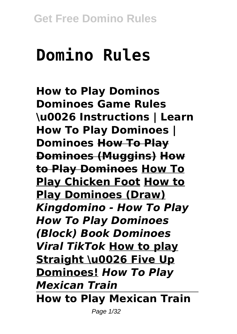# **Domino Rules**

**How to Play Dominos Dominoes Game Rules \u0026 Instructions | Learn How To Play Dominoes | Dominoes How To Play Dominoes (Muggins) How to Play Dominoes How To Play Chicken Foot How to Play Dominoes (Draw)** *Kingdomino - How To Play How To Play Dominoes (Block) Book Dominoes Viral TikTok* **How to play Straight \u0026 Five Up Dominoes!** *How To Play Mexican Train* **How to Play Mexican Train**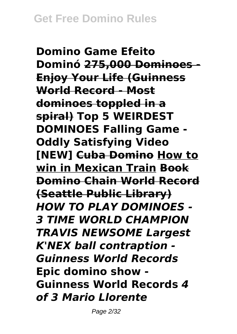**Domino Game Efeito Dominó 275,000 Dominoes - Enjoy Your Life (Guinness World Record - Most dominoes toppled in a spiral) Top 5 WEIRDEST DOMINOES Falling Game - Oddly Satisfying Video [NEW] Cuba Domino How to win in Mexican Train Book Domino Chain World Record (Seattle Public Library)** *HOW TO PLAY DOMINOES - 3 TIME WORLD CHAMPION TRAVIS NEWSOME Largest K'NEX ball contraption - Guinness World Records* **Epic domino show - Guinness World Records** *4 of 3 Mario Llorente*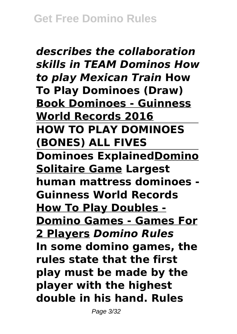*describes the collaboration skills in TEAM Dominos How to play Mexican Train* **How To Play Dominoes (Draw) Book Dominoes - Guinness World Records 2016 HOW TO PLAY DOMINOES (BONES) ALL FIVES Dominoes ExplainedDomino Solitaire Game Largest human mattress dominoes - Guinness World Records How To Play Doubles - Domino Games - Games For 2 Players** *Domino Rules* **In some domino games, the rules state that the first play must be made by the player with the highest double in his hand. Rules**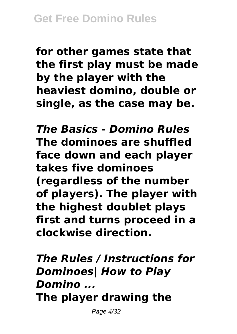**for other games state that the first play must be made by the player with the heaviest domino, double or single, as the case may be.**

*The Basics - Domino Rules* **The dominoes are shuffled face down and each player takes five dominoes (regardless of the number of players). The player with the highest doublet plays first and turns proceed in a clockwise direction.**

*The Rules / Instructions for Dominoes| How to Play Domino ...* **The player drawing the**

Page 4/32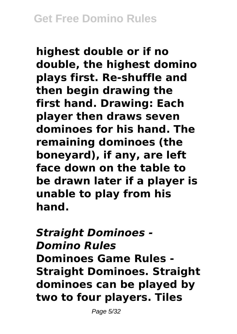**highest double or if no double, the highest domino plays first. Re-shuffle and then begin drawing the first hand. Drawing: Each player then draws seven dominoes for his hand. The remaining dominoes (the boneyard), if any, are left face down on the table to be drawn later if a player is unable to play from his hand.**

*Straight Dominoes - Domino Rules* **Dominoes Game Rules - Straight Dominoes. Straight dominoes can be played by two to four players. Tiles**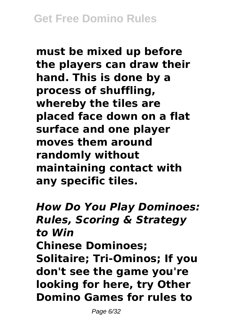**must be mixed up before the players can draw their hand. This is done by a process of shuffling, whereby the tiles are placed face down on a flat surface and one player moves them around randomly without maintaining contact with any specific tiles.**

*How Do You Play Dominoes: Rules, Scoring & Strategy to Win* **Chinese Dominoes; Solitaire; Tri-Ominos; If you don't see the game you're looking for here, try Other Domino Games for rules to**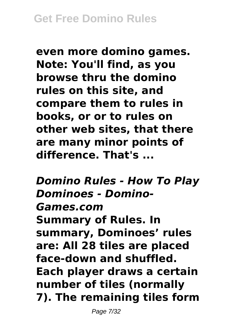**even more domino games. Note: You'll find, as you browse thru the domino rules on this site, and compare them to rules in books, or or to rules on other web sites, that there are many minor points of difference. That's ...**

*Domino Rules - How To Play Dominoes - Domino-Games.com* **Summary of Rules. In summary, Dominoes' rules are: All 28 tiles are placed face-down and shuffled. Each player draws a certain number of tiles (normally 7). The remaining tiles form**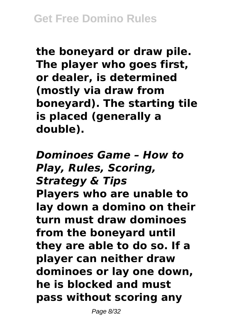**the boneyard or draw pile. The player who goes first, or dealer, is determined (mostly via draw from boneyard). The starting tile is placed (generally a double).**

*Dominoes Game – How to Play, Rules, Scoring, Strategy & Tips* **Players who are unable to lay down a domino on their turn must draw dominoes from the boneyard until they are able to do so. If a player can neither draw dominoes or lay one down, he is blocked and must pass without scoring any**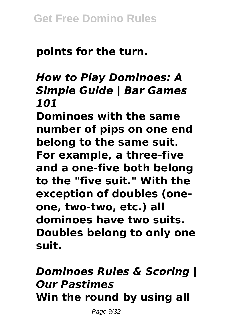# **points for the turn.**

## *How to Play Dominoes: A Simple Guide | Bar Games 101*

**Dominoes with the same number of pips on one end belong to the same suit. For example, a three-five and a one-five both belong to the "five suit." With the exception of doubles (oneone, two-two, etc.) all dominoes have two suits. Doubles belong to only one suit.**

# *Dominoes Rules & Scoring | Our Pastimes* **Win the round by using all**

Page 9/32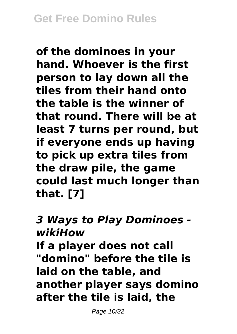**of the dominoes in your hand. Whoever is the first person to lay down all the tiles from their hand onto the table is the winner of that round. There will be at least 7 turns per round, but if everyone ends up having to pick up extra tiles from the draw pile, the game could last much longer than that. [7]**

#### *3 Ways to Play Dominoes wikiHow*

**If a player does not call "domino" before the tile is laid on the table, and another player says domino after the tile is laid, the**

Page 10/32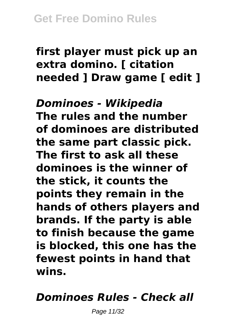## **first player must pick up an extra domino. [ citation needed ] Draw game [ edit ]**

*Dominoes - Wikipedia* **The rules and the number of dominoes are distributed the same part classic pick. The first to ask all these dominoes is the winner of the stick, it counts the points they remain in the hands of others players and brands. If the party is able to finish because the game is blocked, this one has the fewest points in hand that wins.**

## *Dominoes Rules - Check all*

Page 11/32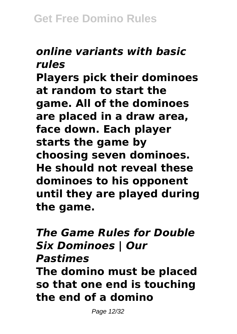#### *online variants with basic rules*

**Players pick their dominoes at random to start the game. All of the dominoes are placed in a draw area, face down. Each player starts the game by choosing seven dominoes. He should not reveal these dominoes to his opponent until they are played during the game.**

*The Game Rules for Double Six Dominoes | Our Pastimes* **The domino must be placed so that one end is touching the end of a domino**

Page 12/32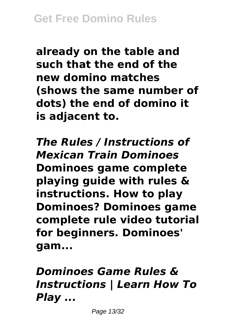**already on the table and such that the end of the new domino matches (shows the same number of dots) the end of domino it is adjacent to.**

*The Rules / Instructions of Mexican Train Dominoes* **Dominoes game complete playing guide with rules & instructions. How to play Dominoes? Dominoes game complete rule video tutorial for beginners. Dominoes' gam...**

*Dominoes Game Rules & Instructions | Learn How To Play ...*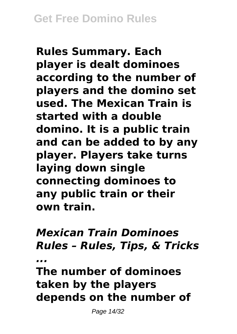**Rules Summary. Each player is dealt dominoes according to the number of players and the domino set used. The Mexican Train is started with a double domino. It is a public train and can be added to by any player. Players take turns laying down single connecting dominoes to any public train or their own train.**

*Mexican Train Dominoes Rules – Rules, Tips, & Tricks ...* **The number of dominoes**

**taken by the players depends on the number of**

Page 14/32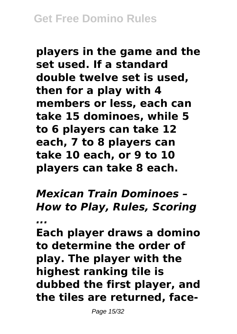**players in the game and the set used. If a standard double twelve set is used, then for a play with 4 members or less, each can take 15 dominoes, while 5 to 6 players can take 12 each, 7 to 8 players can take 10 each, or 9 to 10 players can take 8 each.**

*Mexican Train Dominoes – How to Play, Rules, Scoring*

*...*

**Each player draws a domino to determine the order of play. The player with the highest ranking tile is dubbed the first player, and the tiles are returned, face-**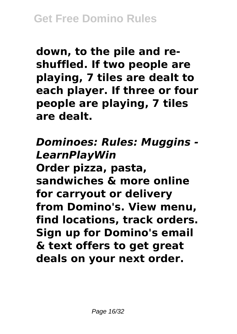**down, to the pile and reshuffled. If two people are playing, 7 tiles are dealt to each player. If three or four people are playing, 7 tiles are dealt.**

*Dominoes: Rules: Muggins - LearnPlayWin* **Order pizza, pasta, sandwiches & more online for carryout or delivery from Domino's. View menu, find locations, track orders. Sign up for Domino's email & text offers to get great deals on your next order.**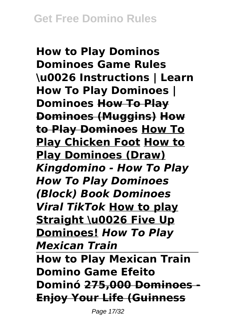**How to Play Dominos Dominoes Game Rules \u0026 Instructions | Learn How To Play Dominoes | Dominoes How To Play Dominoes (Muggins) How to Play Dominoes How To Play Chicken Foot How to Play Dominoes (Draw)** *Kingdomino - How To Play How To Play Dominoes (Block) Book Dominoes Viral TikTok* **How to play Straight \u0026 Five Up Dominoes!** *How To Play Mexican Train* **How to Play Mexican Train Domino Game Efeito Dominó 275,000 Dominoes - Enjoy Your Life (Guinness**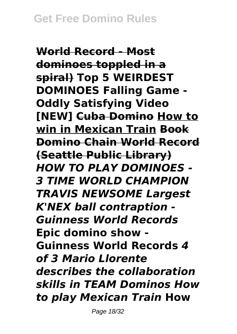**World Record - Most dominoes toppled in a spiral) Top 5 WEIRDEST DOMINOES Falling Game - Oddly Satisfying Video [NEW] Cuba Domino How to win in Mexican Train Book Domino Chain World Record (Seattle Public Library)** *HOW TO PLAY DOMINOES - 3 TIME WORLD CHAMPION TRAVIS NEWSOME Largest K'NEX ball contraption - Guinness World Records* **Epic domino show - Guinness World Records** *4 of 3 Mario Llorente describes the collaboration skills in TEAM Dominos How to play Mexican Train* **How**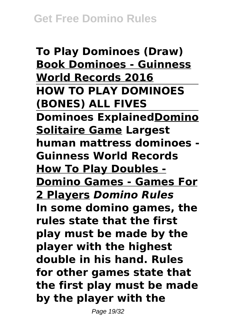**To Play Dominoes (Draw) Book Dominoes - Guinness World Records 2016 HOW TO PLAY DOMINOES (BONES) ALL FIVES Dominoes ExplainedDomino Solitaire Game Largest human mattress dominoes - Guinness World Records How To Play Doubles - Domino Games - Games For 2 Players** *Domino Rules* **In some domino games, the rules state that the first play must be made by the player with the highest double in his hand. Rules for other games state that the first play must be made by the player with the**

Page 19/32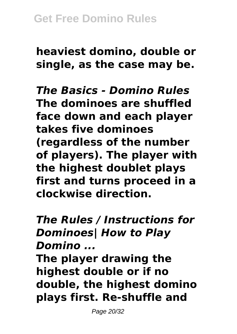**heaviest domino, double or single, as the case may be.**

*The Basics - Domino Rules* **The dominoes are shuffled face down and each player takes five dominoes (regardless of the number of players). The player with the highest doublet plays first and turns proceed in a clockwise direction.**

*The Rules / Instructions for Dominoes| How to Play Domino ...*

**The player drawing the highest double or if no double, the highest domino plays first. Re-shuffle and**

Page 20/32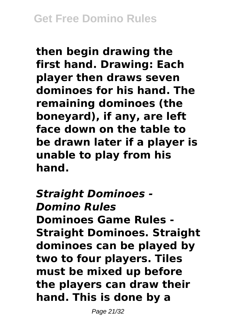**then begin drawing the first hand. Drawing: Each player then draws seven dominoes for his hand. The remaining dominoes (the boneyard), if any, are left face down on the table to be drawn later if a player is unable to play from his hand.**

*Straight Dominoes - Domino Rules* **Dominoes Game Rules - Straight Dominoes. Straight dominoes can be played by two to four players. Tiles must be mixed up before the players can draw their hand. This is done by a**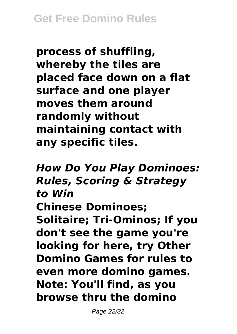**process of shuffling, whereby the tiles are placed face down on a flat surface and one player moves them around randomly without maintaining contact with any specific tiles.**

*How Do You Play Dominoes: Rules, Scoring & Strategy to Win* **Chinese Dominoes; Solitaire; Tri-Ominos; If you don't see the game you're looking for here, try Other Domino Games for rules to even more domino games. Note: You'll find, as you browse thru the domino**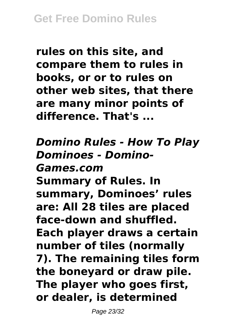**rules on this site, and compare them to rules in books, or or to rules on other web sites, that there are many minor points of difference. That's ...**

*Domino Rules - How To Play Dominoes - Domino-Games.com* **Summary of Rules. In summary, Dominoes' rules are: All 28 tiles are placed face-down and shuffled. Each player draws a certain number of tiles (normally 7). The remaining tiles form the boneyard or draw pile. The player who goes first, or dealer, is determined**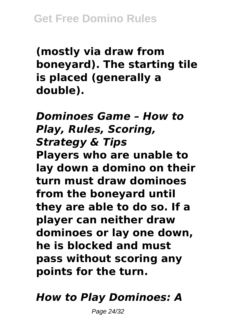**(mostly via draw from boneyard). The starting tile is placed (generally a double).**

## *Dominoes Game – How to Play, Rules, Scoring, Strategy & Tips*

**Players who are unable to lay down a domino on their turn must draw dominoes from the boneyard until they are able to do so. If a player can neither draw dominoes or lay one down, he is blocked and must pass without scoring any points for the turn.**

## *How to Play Dominoes: A*

Page 24/32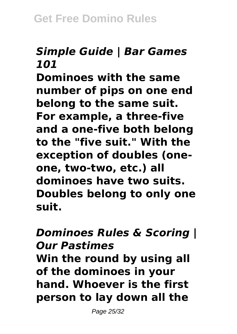## *Simple Guide | Bar Games 101*

**Dominoes with the same number of pips on one end belong to the same suit. For example, a three-five and a one-five both belong to the "five suit." With the exception of doubles (oneone, two-two, etc.) all dominoes have two suits. Doubles belong to only one suit.**

#### *Dominoes Rules & Scoring | Our Pastimes*

**Win the round by using all of the dominoes in your hand. Whoever is the first person to lay down all the**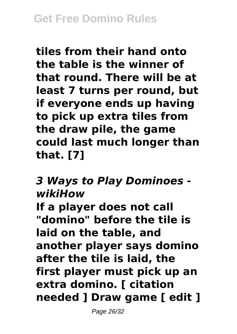**tiles from their hand onto the table is the winner of that round. There will be at least 7 turns per round, but if everyone ends up having to pick up extra tiles from the draw pile, the game could last much longer than that. [7]**

#### *3 Ways to Play Dominoes wikiHow*

**If a player does not call "domino" before the tile is laid on the table, and another player says domino after the tile is laid, the first player must pick up an extra domino. [ citation needed ] Draw game [ edit ]**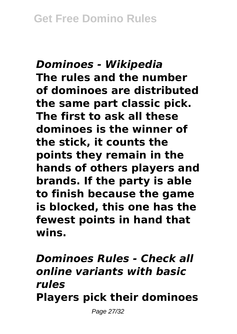## *Dominoes - Wikipedia* **The rules and the number of dominoes are distributed the same part classic pick. The first to ask all these dominoes is the winner of the stick, it counts the points they remain in the hands of others players and brands. If the party is able to finish because the game is blocked, this one has the fewest points in hand that wins.**

# *Dominoes Rules - Check all online variants with basic rules* **Players pick their dominoes**

Page 27/32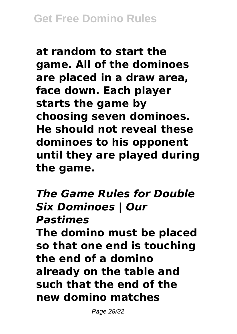**at random to start the game. All of the dominoes are placed in a draw area, face down. Each player starts the game by choosing seven dominoes. He should not reveal these dominoes to his opponent until they are played during the game.**

*The Game Rules for Double Six Dominoes | Our Pastimes* **The domino must be placed so that one end is touching the end of a domino already on the table and such that the end of the new domino matches**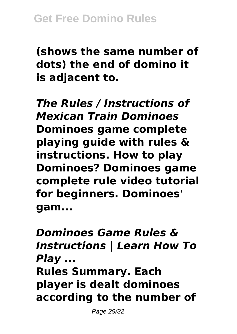**(shows the same number of dots) the end of domino it is adjacent to.**

*The Rules / Instructions of Mexican Train Dominoes* **Dominoes game complete playing guide with rules & instructions. How to play Dominoes? Dominoes game complete rule video tutorial for beginners. Dominoes' gam...**

*Dominoes Game Rules & Instructions | Learn How To Play ...* **Rules Summary. Each player is dealt dominoes according to the number of**

Page 29/32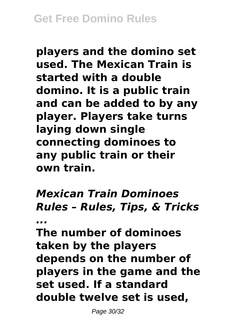**players and the domino set used. The Mexican Train is started with a double domino. It is a public train and can be added to by any player. Players take turns laying down single connecting dominoes to any public train or their own train.**

*Mexican Train Dominoes Rules – Rules, Tips, & Tricks ...*

**The number of dominoes taken by the players depends on the number of players in the game and the set used. If a standard double twelve set is used,**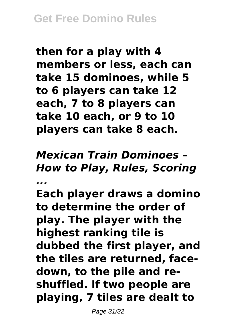**then for a play with 4 members or less, each can take 15 dominoes, while 5 to 6 players can take 12 each, 7 to 8 players can take 10 each, or 9 to 10 players can take 8 each.**

*Mexican Train Dominoes – How to Play, Rules, Scoring ...*

**Each player draws a domino to determine the order of play. The player with the highest ranking tile is dubbed the first player, and the tiles are returned, facedown, to the pile and reshuffled. If two people are playing, 7 tiles are dealt to**